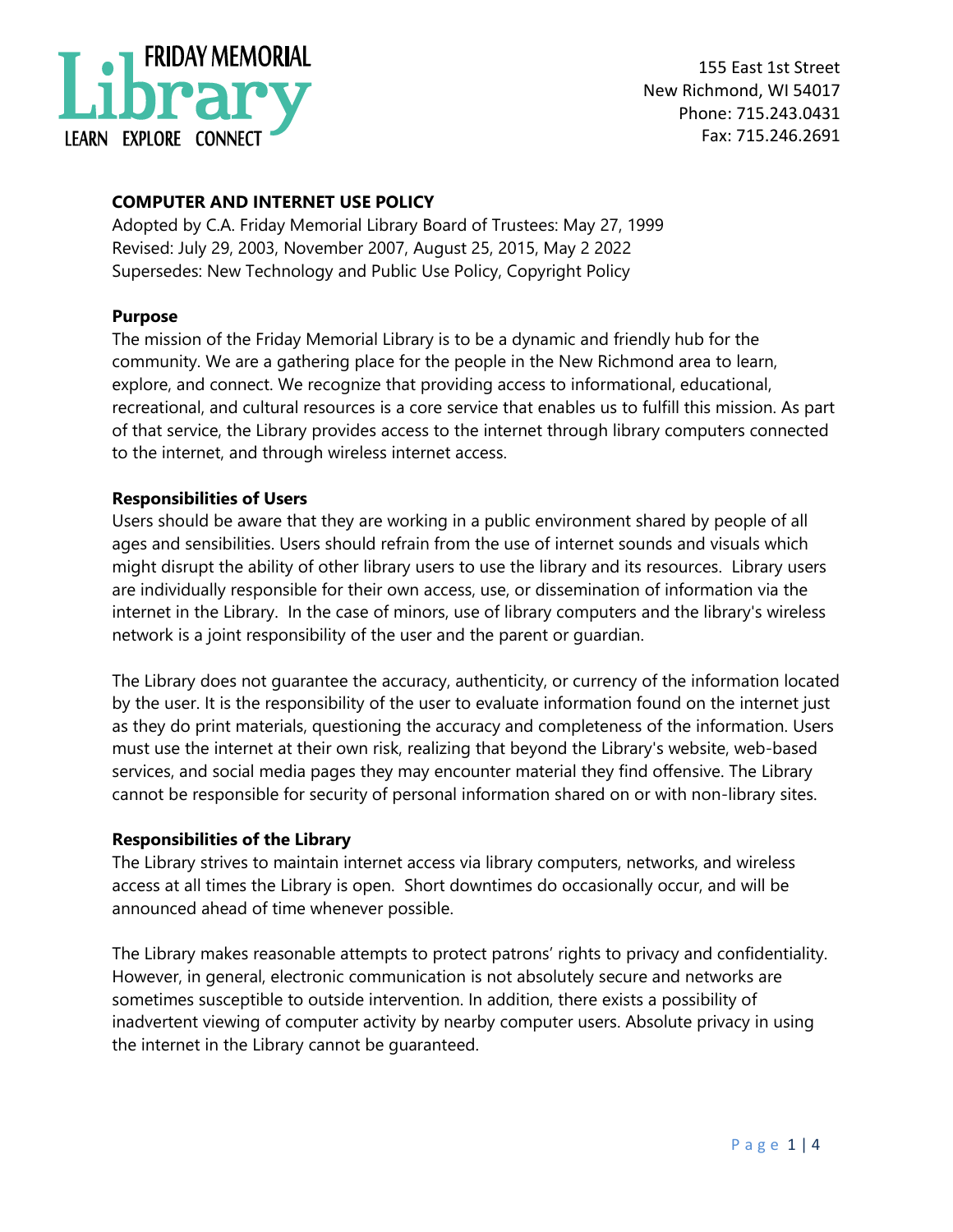

155 East 1st Street New Richmond, WI 54017 Phone: 715.243.0431 Fax: 715.246.2691

# **COMPUTER AND INTERNET USE POLICY**

Adopted by C.A. Friday Memorial Library Board of Trustees: May 27, 1999 Revised: July 29, 2003, November 2007, August 25, 2015, May 2 2022 Supersedes: New Technology and Public Use Policy, Copyright Policy

## **Purpose**

The mission of the Friday Memorial Library is to be a dynamic and friendly hub for the community. We are a gathering place for the people in the New Richmond area to learn, explore, and connect. We recognize that providing access to informational, educational, recreational, and cultural resources is a core service that enables us to fulfill this mission. As part of that service, the Library provides access to the internet through library computers connected to the internet, and through wireless internet access.

## **Responsibilities of Users**

Users should be aware that they are working in a public environment shared by people of all ages and sensibilities. Users should refrain from the use of internet sounds and visuals which might disrupt the ability of other library users to use the library and its resources. Library users are individually responsible for their own access, use, or dissemination of information via the internet in the Library. In the case of minors, use of library computers and the library's wireless network is a joint responsibility of the user and the parent or guardian.

The Library does not guarantee the accuracy, authenticity, or currency of the information located by the user. It is the responsibility of the user to evaluate information found on the internet just as they do print materials, questioning the accuracy and completeness of the information. Users must use the internet at their own risk, realizing that beyond the Library's website, web-based services, and social media pages they may encounter material they find offensive. The Library cannot be responsible for security of personal information shared on or with non-library sites.

#### **Responsibilities of the Library**

The Library strives to maintain internet access via library computers, networks, and wireless access at all times the Library is open. Short downtimes do occasionally occur, and will be announced ahead of time whenever possible.

The Library makes reasonable attempts to protect patrons' rights to privacy and confidentiality. However, in general, electronic communication is not absolutely secure and networks are sometimes susceptible to outside intervention. In addition, there exists a possibility of inadvertent viewing of computer activity by nearby computer users. Absolute privacy in using the internet in the Library cannot be guaranteed.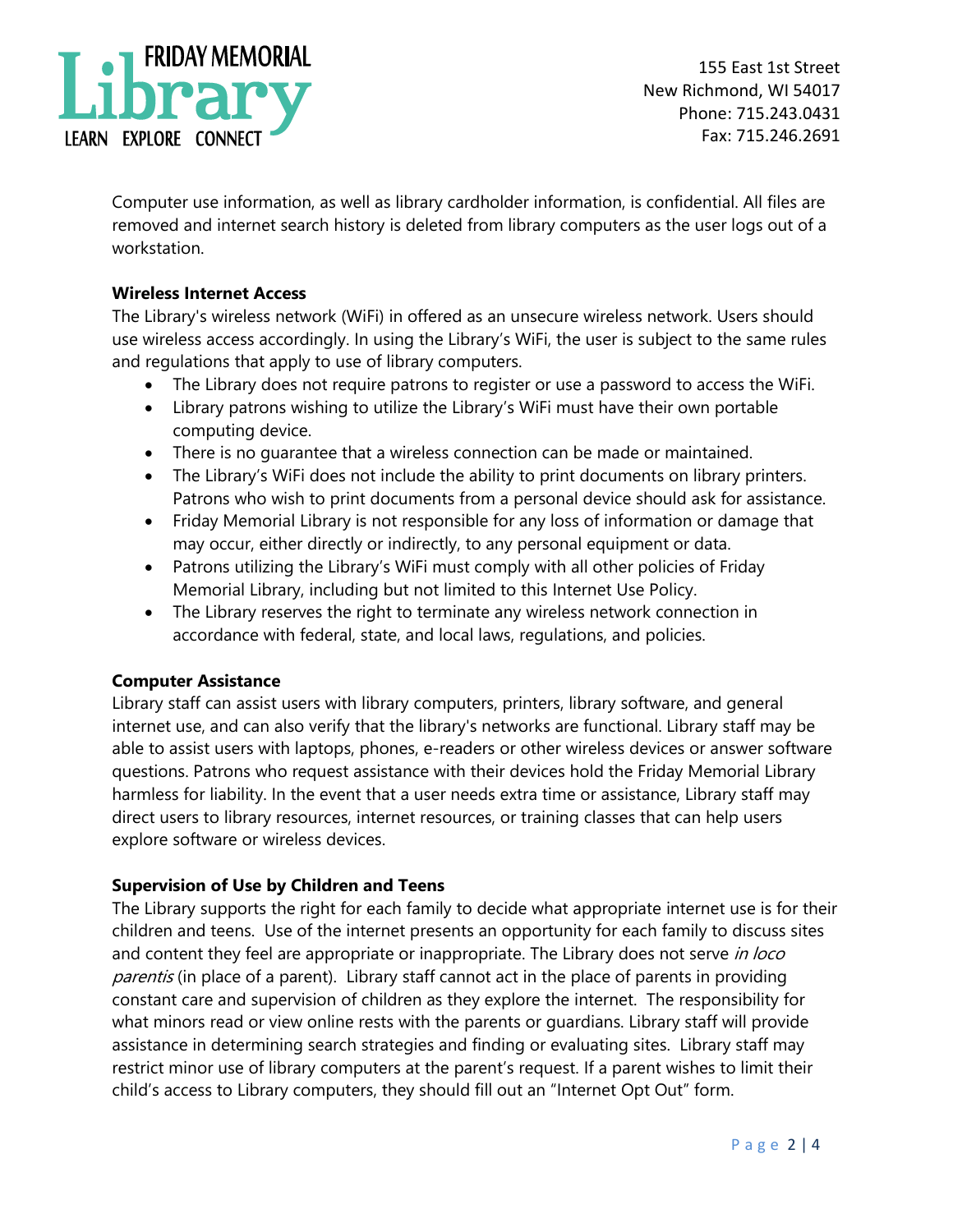

155 East 1st Street New Richmond, WI 54017 Phone: 715.243.0431 Fax: 715.246.2691

Computer use information, as well as library cardholder information, is confidential. All files are removed and internet search history is deleted from library computers as the user logs out of a workstation.

## **Wireless Internet Access**

The Library's wireless network (WiFi) in offered as an unsecure wireless network. Users should use wireless access accordingly. In using the Library's WiFi, the user is subject to the same rules and regulations that apply to use of library computers.

- The Library does not require patrons to register or use a password to access the WiFi.
- Library patrons wishing to utilize the Library's WiFi must have their own portable computing device.
- There is no guarantee that a wireless connection can be made or maintained.
- The Library's WiFi does not include the ability to print documents on library printers. Patrons who wish to print documents from a personal device should ask for assistance.
- Friday Memorial Library is not responsible for any loss of information or damage that may occur, either directly or indirectly, to any personal equipment or data.
- Patrons utilizing the Library's WiFi must comply with all other policies of Friday Memorial Library, including but not limited to this Internet Use Policy.
- The Library reserves the right to terminate any wireless network connection in accordance with federal, state, and local laws, regulations, and policies.

#### **Computer Assistance**

Library staff can assist users with library computers, printers, library software, and general internet use, and can also verify that the library's networks are functional. Library staff may be able to assist users with laptops, phones, e-readers or other wireless devices or answer software questions. Patrons who request assistance with their devices hold the Friday Memorial Library harmless for liability. In the event that a user needs extra time or assistance, Library staff may direct users to library resources, internet resources, or training classes that can help users explore software or wireless devices.

# **Supervision of Use by Children and Teens**

The Library supports the right for each family to decide what appropriate internet use is for their children and teens. Use of the internet presents an opportunity for each family to discuss sites and content they feel are appropriate or inappropriate. The Library does not serve in loco parentis (in place of a parent). Library staff cannot act in the place of parents in providing constant care and supervision of children as they explore the internet. The responsibility for what minors read or view online rests with the parents or guardians. Library staff will provide assistance in determining search strategies and finding or evaluating sites. Library staff may restrict minor use of library computers at the parent's request. If a parent wishes to limit their child's access to Library computers, they should fill out an "Internet Opt Out" form.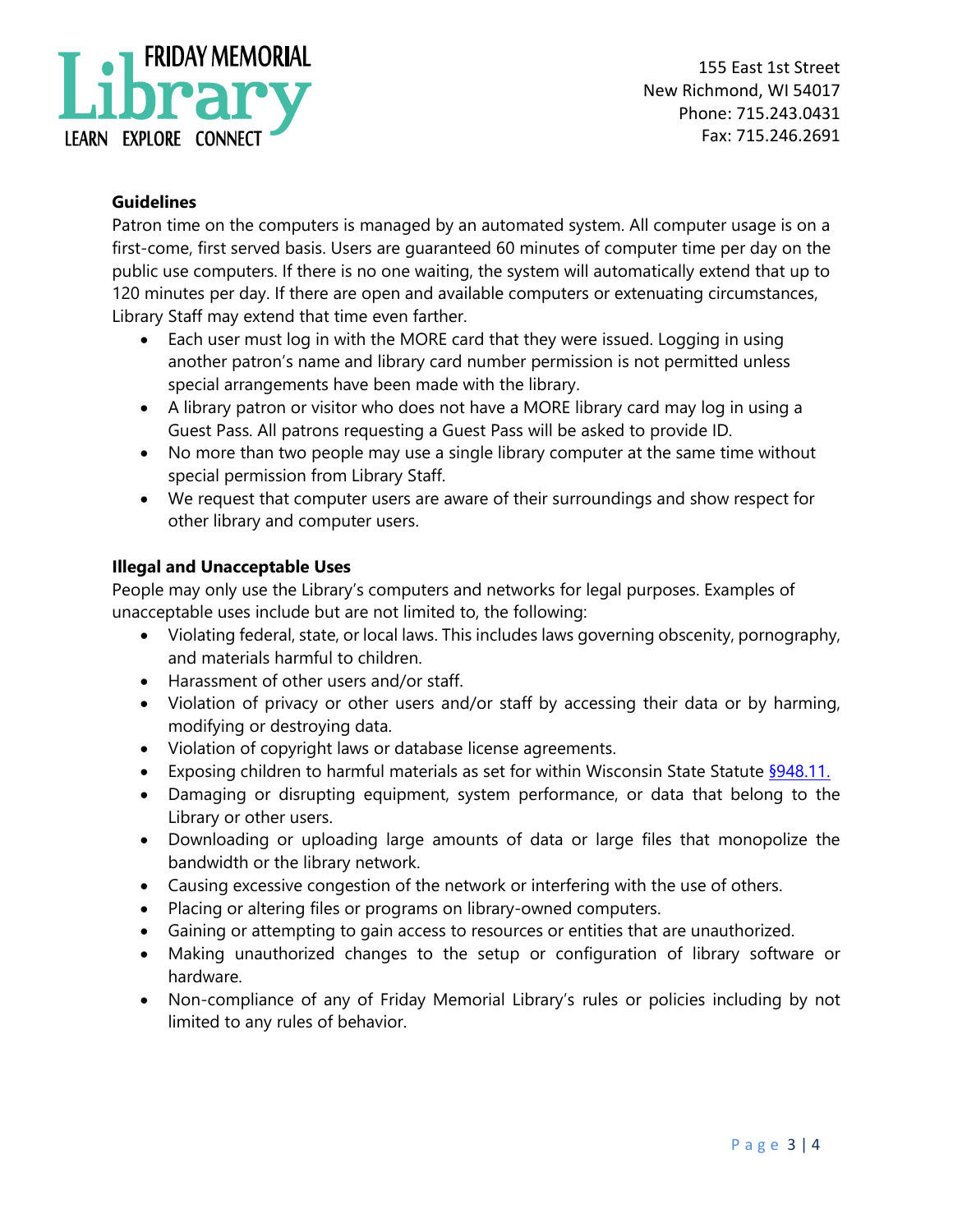

155 East 1st Street New Richmond, WI 54017 Phone: 715.243.0431 Fax: 715.246.2691

## **Guidelines**

Patron time on the computers is managed by an automated system. All computer usage is on a first-come, first served basis. Users are guaranteed 60 minutes of computer time per day on the public use computers. If there is no one waiting, the system will automatically extend that up to 120 minutes per day. If there are open and available computers or extenuating circumstances, Library Staff may extend that time even farther.

- Each user must log in with the MORE card that they were issued. Logging in using another patron's name and library card number permission is not permitted unless special arrangements have been made with the library.
- A library patron or visitor who does not have a MORE library card may log in using a Guest Pass. All patrons requesting a Guest Pass will be asked to provide ID.
- No more than two people may use a single library computer at the same time without special permission from Library Staff.
- We request that computer users are aware of their surroundings and show respect for other library and computer users.

#### **Illegal and Unacceptable Uses**

People may only use the Library's computers and networks for legal purposes. Examples of unacceptable uses include but are not limited to, the following:

- Violating federal, state, or local laws. This includes laws governing obscenity, pornography, and materials harmful to children.
- Harassment of other users and/or staff.
- Violation of privacy or other users and/or staff by accessing their data or by harming, modifying or destroying data.
- Violation of copyright laws or database license agreements.
- Exposing children to harmful materials as set for within Wisconsin State Statute [§948.11.](https://docs.legis.wisconsin.gov/statutes/statutes/948/11)
- Damaging or disrupting equipment, system performance, or data that belong to the Library or other users.
- Downloading or uploading large amounts of data or large files that monopolize the bandwidth or the library network.
- Causing excessive congestion of the network or interfering with the use of others.
- Placing or altering files or programs on library-owned computers.
- Gaining or attempting to gain access to resources or entities that are unauthorized.
- Making unauthorized changes to the setup or configuration of library software or hardware.
- Non-compliance of any of Friday Memorial Library's rules or policies including by not limited to any rules of behavior.